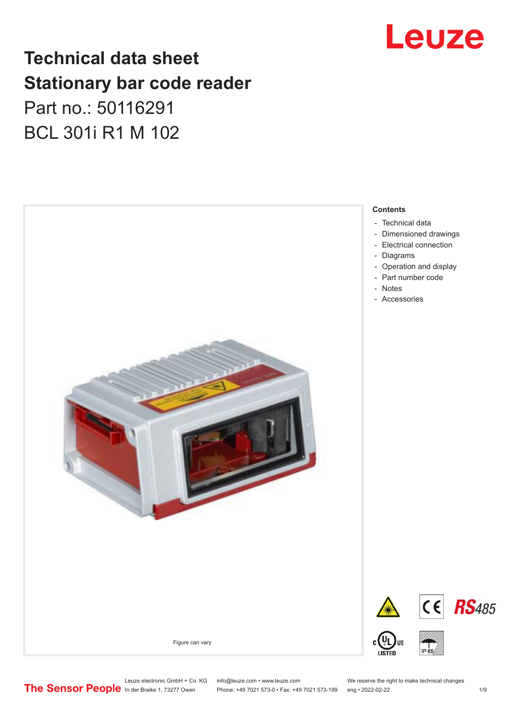

## **Technical data sheet Stationary bar code reader** Part no.: 50116291 BCL 301i R1 M 102



Leuze electronic GmbH + Co. KG info@leuze.com • www.leuze.com We reserve the right to make technical changes<br>
The Sensor People in der Braike 1, 73277 Owen Phone: +49 7021 573-0 • Fax: +49 7021 573-199 eng • 2022-02-22

Phone: +49 7021 573-0 • Fax: +49 7021 573-199 eng • 2022-02-22 1 /9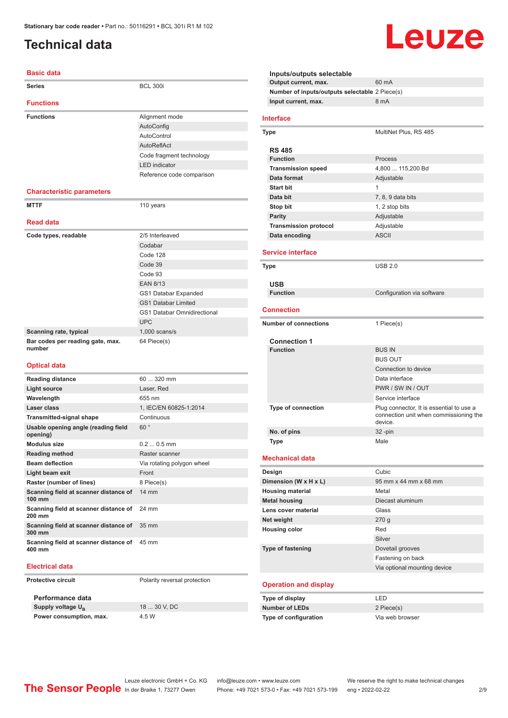### <span id="page-1-0"></span>**Technical data**

#### **Basic data**

| Series                                          | <b>BCL 300i</b>                    |
|-------------------------------------------------|------------------------------------|
| <b>Functions</b>                                |                                    |
| <b>Functions</b>                                | Alignment mode                     |
|                                                 | AutoConfig                         |
|                                                 | AutoControl                        |
|                                                 | AutoReflAct                        |
|                                                 | Code fragment technology           |
|                                                 | <b>LED</b> indicator               |
|                                                 | Reference code comparison          |
| <b>Characteristic parameters</b>                |                                    |
| <b>MTTF</b>                                     | 110 years                          |
|                                                 |                                    |
| <b>Read data</b>                                |                                    |
| Code types, readable                            | 2/5 Interleaved                    |
|                                                 | Codabar                            |
|                                                 | Code 128                           |
|                                                 | Code 39                            |
|                                                 | Code 93                            |
|                                                 | <b>EAN 8/13</b>                    |
|                                                 | GS1 Databar Expanded               |
|                                                 | <b>GS1 Databar Limited</b>         |
|                                                 | <b>GS1 Databar Omnidirectional</b> |
|                                                 | <b>UPC</b>                         |
| Scanning rate, typical                          | $1,000$ scans/s                    |
| Bar codes per reading gate, max.<br>number      | 64 Piece(s)                        |
| <b>Optical data</b>                             |                                    |
| <b>Reading distance</b>                         | 60  320 mm                         |
| <b>Light source</b>                             | Laser, Red                         |
| Wavelength                                      | 655 nm                             |
| Laser class                                     | 1, IEC/EN 60825-1:2014             |
| <b>Transmitted-signal shape</b>                 | Continuous                         |
| Usable opening angle (reading field<br>opening) | 60°                                |
| <b>Modulus size</b>                             | $0.20.5$ mm                        |
| <b>Reading method</b>                           | Raster scanner                     |
| <b>Beam deflection</b>                          | Via rotating polygon wheel         |
| Light beam exit                                 | Front                              |
| Raster (number of lines)                        | 8 Piece(s)                         |
| Scanning field at scanner distance of<br>100 mm | 14 mm                              |
| Scanning field at scanner distance of<br>200 mm | 24 mm                              |
| Scanning field at scanner distance of<br>300 mm | 35 mm                              |

#### **Electrical data**

**400 mm**

**Protective circuit** Polarity reversal protection

**Performance data Supply voltage U<sub>B</sub> Power consumption, max.** 4.5 W

**Scanning field at scanner distance of**  45 mm

18 30 V, DC

**Inputs/outputs selectable Output current, max.** 60 mA **Number of inputs/outputs selectable** 2 Piece(s) **Input current, max.** 8 mA **Interface Type** MultiNet Plus, RS 485 **RS 485 Process Transmission speed** 4,800 ... 115,200 Bd **Data format** Adjustable **Start bit** 1 **Data bit** 7, 8, 9 data bits **Stop bit** 1, 2 stop bits **Parity** Adjustable **Transmission protocol** Adjustable **Data encoding** ASCII **Service interface Type** USB 2.0 **USB Configuration** via software **Connection Number of connections** 1 Piece(s) **Connection 1 Function** BUS IN BUS OUT Connection to device Data interface PWR / SW IN / OUT Service interface **Type of connection** Plug connector, It is essential to use a connection unit when commissioning the device. **No. of pins** 32 -pin **Type** Male **Mechanical data Design Cubic Dimension (W x H x L)** 95 mm x 44 mm x 68 mm **Housing material** Metal **Metal housing Diecast aluminum Lens cover material Class Net weight** 270 g **Housing color** Red Silver **Type of fastening** Dovetail grooves Fastening on back Via optional mounting device **Operation and display Type of display** LED **Number of LEDs** 2 Piece(s) **Type of configuration** Via web browser

Leuze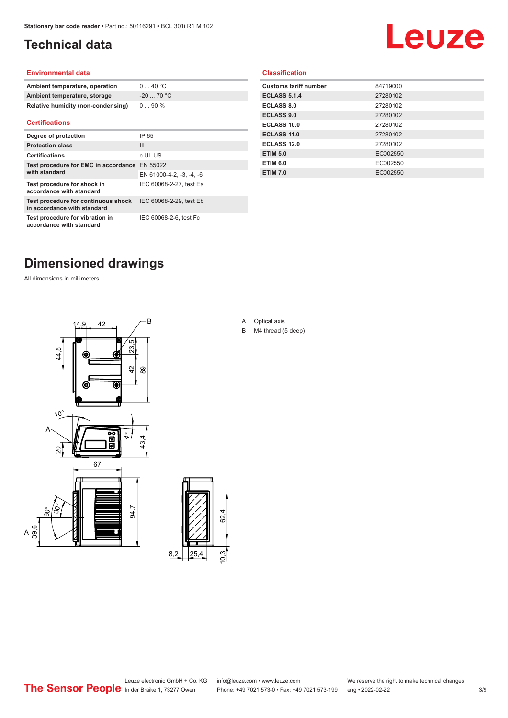### <span id="page-2-0"></span>**Technical data**

# Leuze

#### **Environmental data**

| Ambient temperature, operation     | 040 °C     |
|------------------------------------|------------|
| Ambient temperature, storage       | $-2070 °C$ |
| Relative humidity (non-condensing) | $090\%$    |

#### **Certifications**

| Degree of protection                                               | IP 65                    |
|--------------------------------------------------------------------|--------------------------|
| <b>Protection class</b>                                            | Ш                        |
| <b>Certifications</b>                                              | c UL US                  |
| Test procedure for EMC in accordance                               | EN 55022                 |
| with standard                                                      | EN 61000-4-2, -3, -4, -6 |
| Test procedure for shock in<br>accordance with standard            | IEC 60068-2-27, test Ea  |
| Test procedure for continuous shock<br>in accordance with standard | IEC 60068-2-29, test Eb  |
| Test procedure for vibration in<br>accordance with standard        | IEC 60068-2-6, test Fc   |

#### **Classification**

| <b>Customs tariff number</b> | 84719000 |
|------------------------------|----------|
| <b>ECLASS 5.1.4</b>          | 27280102 |
| <b>ECLASS 8.0</b>            | 27280102 |
| <b>ECLASS 9.0</b>            | 27280102 |
| ECLASS 10.0                  | 27280102 |
| ECLASS 11.0                  | 27280102 |
| ECLASS 12.0                  | 27280102 |
| <b>ETIM 5.0</b>              | EC002550 |
| <b>ETIM 6.0</b>              | EC002550 |
| <b>ETIM 7.0</b>              | EC002550 |
|                              |          |

#### **Dimensioned drawings**

All dimensions in millimeters





A Optical axis

B M4 thread (5 deep)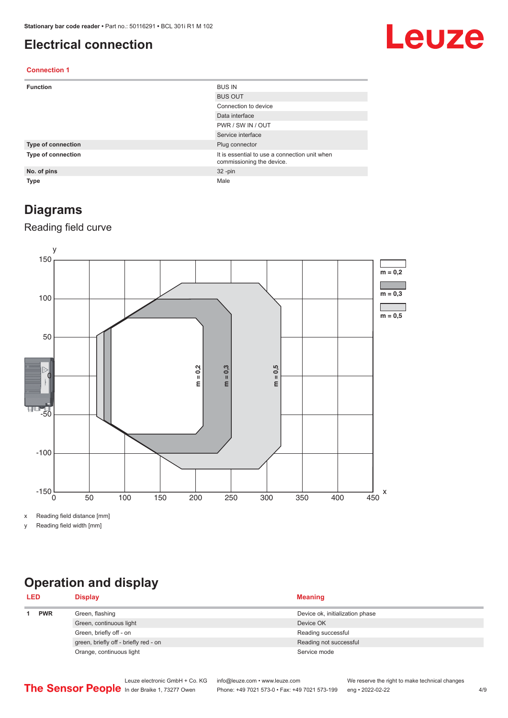#### <span id="page-3-0"></span>**Electrical connection**

## Leuze

#### **Connection 1**

| <b>Function</b>    | <b>BUS IN</b>                                                              |
|--------------------|----------------------------------------------------------------------------|
|                    | <b>BUS OUT</b>                                                             |
|                    | Connection to device                                                       |
|                    | Data interface                                                             |
|                    | PWR / SW IN / OUT                                                          |
|                    | Service interface                                                          |
| Type of connection | Plug connector                                                             |
| Type of connection | It is essential to use a connection unit when<br>commissioning the device. |
| No. of pins        | $32 - pin$                                                                 |
| <b>Type</b>        | Male                                                                       |

#### **Diagrams**

#### Reading field curve



x Reading field distance [mm]

y Reading field width [mm]

## **Operation and display**

|            | <b>LED</b><br><b>Display</b> |                                       | <b>Meaning</b>                  |  |
|------------|------------------------------|---------------------------------------|---------------------------------|--|
| <b>PWR</b> |                              | Green, flashing                       | Device ok, initialization phase |  |
|            |                              | Green, continuous light               | Device OK                       |  |
|            |                              | Green, briefly off - on               | Reading successful              |  |
|            |                              | green, briefly off - briefly red - on | Reading not successful          |  |
|            |                              | Orange, continuous light              | Service mode                    |  |
|            |                              |                                       |                                 |  |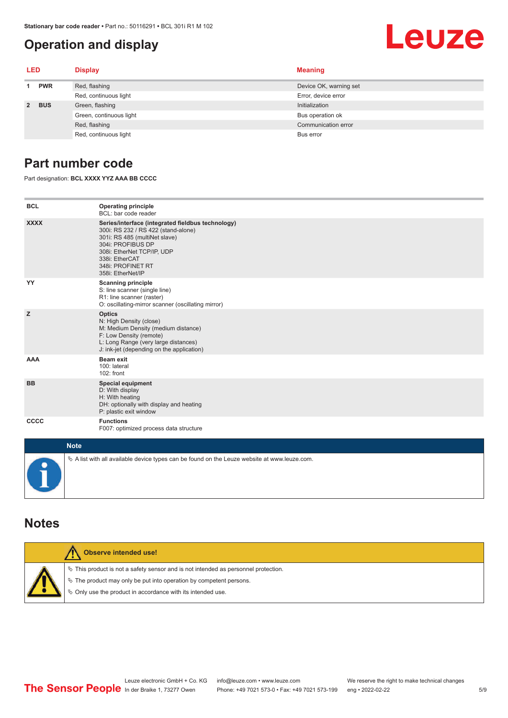#### <span id="page-4-0"></span>**Operation and display**

## Leuze

| <b>LED</b>  |            | <b>Display</b>          | <b>Meaning</b>         |
|-------------|------------|-------------------------|------------------------|
| <b>PWR</b>  |            | Red, flashing           | Device OK, warning set |
|             |            | Red, continuous light   | Error, device error    |
| $2^{\circ}$ | <b>BUS</b> | Green, flashing         | Initialization         |
|             |            | Green, continuous light | Bus operation ok       |
|             |            | Red, flashing           | Communication error    |
|             |            | Red, continuous light   | Bus error              |

#### **Part number code**

Part designation: **BCL XXXX YYZ AAA BB CCCC**

| <b>BCL</b>         | <b>Operating principle</b><br>BCL: bar code reader                                                                                                                                                                                       |
|--------------------|------------------------------------------------------------------------------------------------------------------------------------------------------------------------------------------------------------------------------------------|
| <b>XXXX</b>        | Series/interface (integrated fieldbus technology)<br>300i: RS 232 / RS 422 (stand-alone)<br>301i: RS 485 (multiNet slave)<br>304i: PROFIBUS DP<br>308i: EtherNet TCP/IP, UDP<br>338i: EtherCAT<br>348i: PROFINET RT<br>358i: EtherNet/IP |
| YY                 | <b>Scanning principle</b><br>S: line scanner (single line)<br>R1: line scanner (raster)<br>O: oscillating-mirror scanner (oscillating mirror)                                                                                            |
| z                  | <b>Optics</b><br>N: High Density (close)<br>M: Medium Density (medium distance)<br>F: Low Density (remote)<br>L: Long Range (very large distances)<br>J: ink-jet (depending on the application)                                          |
| <b>AAA</b>         | <b>Beam exit</b><br>100: lateral<br>102: front                                                                                                                                                                                           |
| <b>BB</b>          | <b>Special equipment</b><br>D: With display<br>H: With heating<br>DH: optionally with display and heating<br>P: plastic exit window                                                                                                      |
| CCCC               | <b>Functions</b><br>F007: optimized process data structure                                                                                                                                                                               |
| <b>Sales State</b> |                                                                                                                                                                                                                                          |

| <b>Note</b>                                                                                       |
|---------------------------------------------------------------------------------------------------|
| $\phi$ A list with all available device types can be found on the Leuze website at www.leuze.com. |

#### **Notes**

| <b>Observe intended use!</b>                                                                                                                                                                                                  |
|-------------------------------------------------------------------------------------------------------------------------------------------------------------------------------------------------------------------------------|
| $\%$ This product is not a safety sensor and is not intended as personnel protection.<br>$\%$ The product may only be put into operation by competent persons.<br>₿ Only use the product in accordance with its intended use. |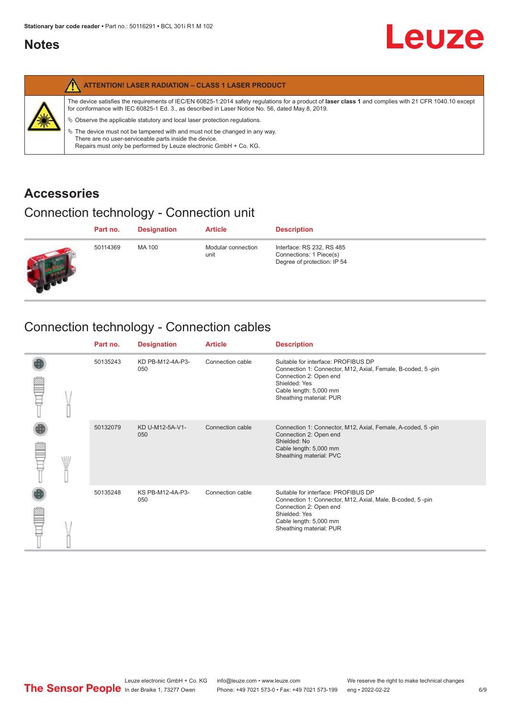#### <span id="page-5-0"></span>**Notes**

|   | <b>ATTENTION! LASER RADIATION - CLASS 1 LASER PRODUCT</b>                                                                                                                                                                                                                                                                                                                                                                                                                                                                                                   |
|---|-------------------------------------------------------------------------------------------------------------------------------------------------------------------------------------------------------------------------------------------------------------------------------------------------------------------------------------------------------------------------------------------------------------------------------------------------------------------------------------------------------------------------------------------------------------|
| 纂 | The device satisfies the requirements of IEC/EN 60825-1:2014 safety regulations for a product of laser class 1 and complies with 21 CFR 1040.10 except<br>for conformance with IEC 60825-1 Ed. 3., as described in Laser Notice No. 56, dated May 8, 2019.<br>$\&$ Observe the applicable statutory and local laser protection regulations.<br>$\%$ The device must not be tampered with and must not be changed in any way.<br>There are no user-serviceable parts inside the device.<br>Repairs must only be performed by Leuze electronic GmbH + Co. KG. |

#### **Accessories**

### Connection technology - Connection unit

| Part no. | <b>Designation</b> | <b>Article</b>             | <b>Description</b>                                                                  |
|----------|--------------------|----------------------------|-------------------------------------------------------------------------------------|
| 50114369 | MA 100             | Modular connection<br>unit | Interface: RS 232, RS 485<br>Connections: 1 Piece(s)<br>Degree of protection: IP 54 |

### Connection technology - Connection cables

|   | Part no. | <b>Designation</b>      | <b>Article</b>   | <b>Description</b>                                                                                                                                                                                 |
|---|----------|-------------------------|------------------|----------------------------------------------------------------------------------------------------------------------------------------------------------------------------------------------------|
|   | 50135243 | KD PB-M12-4A-P3-<br>050 | Connection cable | Suitable for interface: PROFIBUS DP<br>Connection 1: Connector, M12, Axial, Female, B-coded, 5-pin<br>Connection 2: Open end<br>Shielded: Yes<br>Cable length: 5,000 mm<br>Sheathing material: PUR |
| W | 50132079 | KD U-M12-5A-V1-<br>050  | Connection cable | Connection 1: Connector, M12, Axial, Female, A-coded, 5-pin<br>Connection 2: Open end<br>Shielded: No<br>Cable length: 5,000 mm<br>Sheathing material: PVC                                         |
|   | 50135248 | KS PB-M12-4A-P3-<br>050 | Connection cable | Suitable for interface: PROFIBUS DP<br>Connection 1: Connector, M12, Axial, Male, B-coded, 5-pin<br>Connection 2: Open end<br>Shielded: Yes<br>Cable length: 5,000 mm<br>Sheathing material: PUR   |

**Leuze**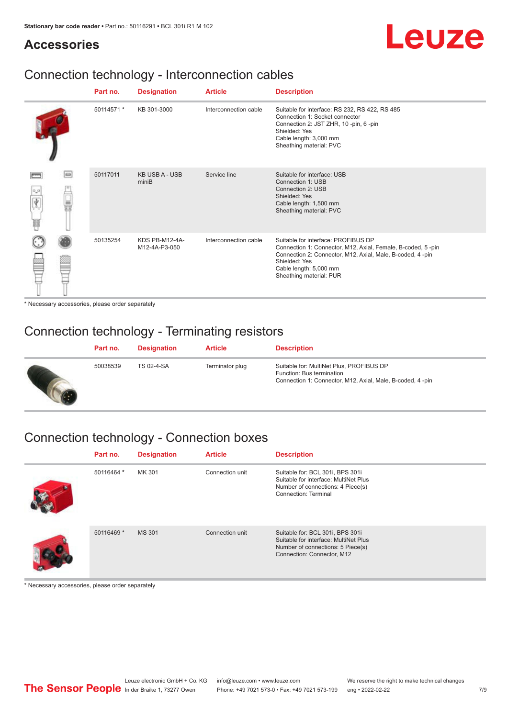#### **Accessories**

## Leuze

#### Connection technology - Interconnection cables

|               |        | Part no.   | <b>Designation</b>              | <b>Article</b>        | <b>Description</b>                                                                                                                                                                                                                    |
|---------------|--------|------------|---------------------------------|-----------------------|---------------------------------------------------------------------------------------------------------------------------------------------------------------------------------------------------------------------------------------|
|               |        | 50114571 * | KB 301-3000                     | Interconnection cable | Suitable for interface: RS 232, RS 422, RS 485<br>Connection 1: Socket connector<br>Connection 2: JST ZHR, 10 -pin, 6 -pin<br>Shielded: Yes<br>Cable length: 3,000 mm<br>Sheathing material: PVC                                      |
| 0,0<br>Ý<br>Ħ | $\Box$ | 50117011   | <b>KB USB A - USB</b><br>miniB  | Service line          | Suitable for interface: USB<br>Connection 1: USB<br>Connection 2: USB<br>Shielded: Yes<br>Cable length: 1,500 mm<br>Sheathing material: PVC                                                                                           |
|               |        | 50135254   | KDS PB-M12-4A-<br>M12-4A-P3-050 | Interconnection cable | Suitable for interface: PROFIBUS DP<br>Connection 1: Connector, M12, Axial, Female, B-coded, 5-pin<br>Connection 2: Connector, M12, Axial, Male, B-coded, 4-pin<br>Shielded: Yes<br>Cable length: 5,000 mm<br>Sheathing material: PUR |

\* Necessary accessories, please order separately

#### Connection technology - Terminating resistors

| Part no. | <b>Designation</b> | <b>Article</b>  | <b>Description</b>                                                                                                                 |
|----------|--------------------|-----------------|------------------------------------------------------------------------------------------------------------------------------------|
| 50038539 | TS 02-4-SA         | Terminator plug | Suitable for: MultiNet Plus, PROFIBUS DP<br>Function: Bus termination<br>Connection 1: Connector, M12, Axial, Male, B-coded, 4-pin |

### Connection technology - Connection boxes

| Part no.   | <b>Designation</b> | <b>Article</b>  | <b>Description</b>                                                                                                                           |
|------------|--------------------|-----------------|----------------------------------------------------------------------------------------------------------------------------------------------|
| 50116464 * | MK 301             | Connection unit | Suitable for: BCL 301i, BPS 301i<br>Suitable for interface: MultiNet Plus<br>Number of connections: 4 Piece(s)<br>Connection: Terminal       |
| 50116469 * | <b>MS 301</b>      | Connection unit | Suitable for: BCL 301i, BPS 301i<br>Suitable for interface: MultiNet Plus<br>Number of connections: 5 Piece(s)<br>Connection: Connector, M12 |

\* Necessary accessories, please order separately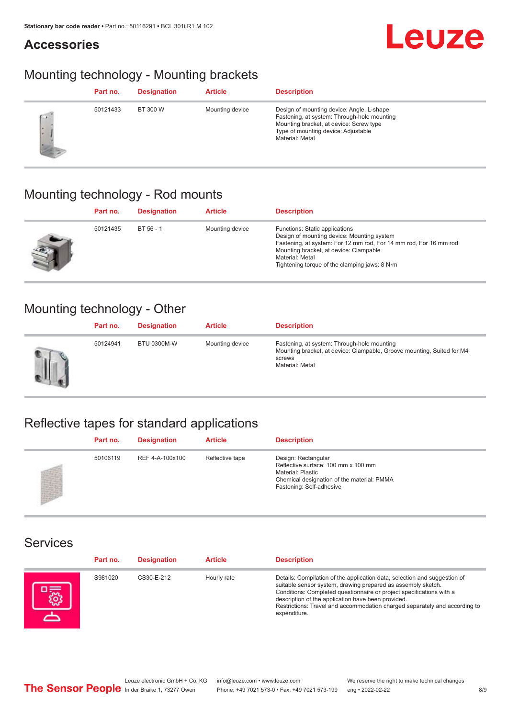#### **Accessories**



#### Mounting technology - Mounting brackets

|     | Part no. | <b>Designation</b> | <b>Article</b>  | <b>Description</b>                                                                                                                                                                            |
|-----|----------|--------------------|-----------------|-----------------------------------------------------------------------------------------------------------------------------------------------------------------------------------------------|
| C.W | 50121433 | BT 300 W           | Mounting device | Design of mounting device: Angle, L-shape<br>Fastening, at system: Through-hole mounting<br>Mounting bracket, at device: Screw type<br>Type of mounting device: Adjustable<br>Material: Metal |

#### Mounting technology - Rod mounts

| Part no. | <b>Designation</b> | <b>Article</b>  | <b>Description</b>                                                                                                                                                                                                                                                |
|----------|--------------------|-----------------|-------------------------------------------------------------------------------------------------------------------------------------------------------------------------------------------------------------------------------------------------------------------|
| 50121435 | BT 56 - 1          | Mounting device | Functions: Static applications<br>Design of mounting device: Mounting system<br>Fastening, at system: For 12 mm rod, For 14 mm rod, For 16 mm rod<br>Mounting bracket, at device: Clampable<br>Material: Metal<br>Tightening torque of the clamping jaws: $8 N·m$ |

#### Mounting technology - Other

|   | Part no. | <b>Designation</b> | <b>Article</b>  | <b>Description</b>                                                                                                                                 |
|---|----------|--------------------|-----------------|----------------------------------------------------------------------------------------------------------------------------------------------------|
| Ш | 50124941 | <b>BTU 0300M-W</b> | Mounting device | Fastening, at system: Through-hole mounting<br>Mounting bracket, at device: Clampable, Groove mounting, Suited for M4<br>screws<br>Material: Metal |

### Reflective tapes for standard applications

| Part no. | <b>Designation</b> | <b>Article</b>  | <b>Description</b>                                                                                                                                               |
|----------|--------------------|-----------------|------------------------------------------------------------------------------------------------------------------------------------------------------------------|
| 50106119 | REF 4-A-100x100    | Reflective tape | Design: Rectangular<br>Reflective surface: 100 mm x 100 mm<br><b>Material: Plastic</b><br>Chemical designation of the material: PMMA<br>Fastening: Self-adhesive |

#### Services

| Part no. | <b>Designation</b> | <b>Article</b> | <b>Description</b>                                                                                                                                                                                                                                                                                                                                                    |
|----------|--------------------|----------------|-----------------------------------------------------------------------------------------------------------------------------------------------------------------------------------------------------------------------------------------------------------------------------------------------------------------------------------------------------------------------|
| S981020  | CS30-E-212         | Hourly rate    | Details: Compilation of the application data, selection and suggestion of<br>suitable sensor system, drawing prepared as assembly sketch.<br>Conditions: Completed questionnaire or project specifications with a<br>description of the application have been provided.<br>Restrictions: Travel and accommodation charged separately and according to<br>expenditure. |